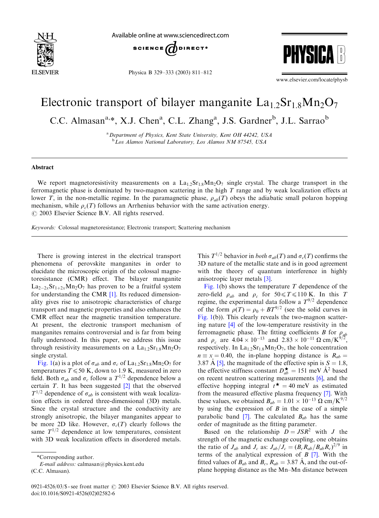

Available online at www.sciencedirect.com



Physica B 329–333 (2003) 811–812



www.elsevier.com/locate/physb

## Electronic transport of bilayer manganite  $La<sub>1</sub>$ ,  $Sr<sub>1</sub>$ ,  $Mn<sub>2</sub>O<sub>7</sub>$

C.C. Almasan<sup>a,\*</sup>, X.J. Chen<sup>a</sup>, C.L. Zhang<sup>a</sup>, J.S. Gardner<sup>b</sup>, J.L. Sarrao<sup>b</sup>

<sup>a</sup> Department of Physics, Kent State University, Kent OH 44242, USA <sup>b</sup>Los Alamos National Laboratory, Los Alamos NM 87545, USA

## Abstract

We report magnetoresistivity measurements on a  $La_{1,2}Sr_{1,8}Mn_2O_7$  single crystal. The charge transport in the ferromagnetic phase is dominated by two-magnon scattering in the high T range and by weak localization effects at lower T, in the non-metallic regime. In the paramagnetic phase,  $\rho_{ab}(T)$  obeys the adiabatic small polaron hopping mechanism, while  $\rho_c(T)$  follows an Arrhenius behavior with the same activation energy.  $Q$  2003 Elsevier Science B.V. All rights reserved.

Keywords: Colossal magnetoresistance; Electronic transport; Scattering mechanism

There is growing interest in the electrical transport phenomena of perovskite manganites in order to elucidate the microscopic origin of the colossal magnetoresistance (CMR) effect. The bilayer manganite  $La_{2-2x}Sr_{1+2x}Mn_2O_7$  has proven to be a fruitful system for understanding the CMR [\[1\]](#page-1-0). Its reduced dimensionality gives rise to anisotropic characteristics of charge transport and magnetic properties and also enhances the CMR effect near the magnetic transition temperature. At present, the electronic transport mechanism of manganites remains controversial and is far from being fully understood. In this paper, we address this issue through resistivity measurements on a  $La<sub>1.2</sub>Sr<sub>1.8</sub>Mn<sub>2</sub>O<sub>7</sub>$ single crystal.

[Fig. 1\(](#page-1-0)a) is a plot of  $\sigma_{ab}$  and  $\sigma_c$  of La<sub>1.2</sub>Sr<sub>1.8</sub>Mn<sub>2</sub>O<sub>7</sub> for temperatures  $T \le 50$  K, down to 1.9 K, measured in zero field. Both  $\sigma_{ab}$  and  $\sigma_c$  follow a  $T^{1/2}$  dependence below a certain  $T$ . It has been suggested  $[2]$  that the observed  $T^{1/2}$  dependence of  $\sigma_{ab}$  is consistent with weak localization effects in ordered three-dimensional (3D) metals. Since the crystal structure and the conductivity are strongly anisotropic, the bilayer manganites appear to be more 2D like. However,  $\sigma_c(T)$  clearly follows the same  $T^{1/2}$  dependence at low temperatures, consistent with 3D weak localization effects in disordered metals.

E-mail address: calmasan@physics.kent.edu (C.C. Almasan).

This  $T^{1/2}$  behavior in *both*  $\sigma_{ab}(T)$  and  $\sigma_c(T)$  confirms the 3D nature of the metallic state and is in good agreement with the theory of quantum interference in highly anisotropic layer metals [\[3\].](#page-1-0)

[Fig. 1\(](#page-1-0)b) shows the temperature  $T$  dependence of the zero-field  $\rho_{ab}$  and  $\rho_c$  for  $50 \le T \le 110$  K. In this T regime, the experimental data follow a  $T^{9/2}$  dependence of the form  $\rho(T) = \rho_0 + BT^{9/2}$  (see the solid curves in [Fig. 1\(](#page-1-0)b)). This clearly reveals the two-magnon scattering nature [\[4\]](#page-1-0) of the low-temperature resistivity in the ferromagnetic phase. The fitting coefficients B for  $\rho_{ab}$ and  $\rho_c$  are  $4.04 \times 10^{-13}$  and  $2.83 \times 10^{-11} \Omega \text{ cm/K}^{9/2}$ , respectively. In  $La<sub>1.2</sub>Sr<sub>1.8</sub>Mn<sub>2</sub>O<sub>7</sub>$ , the hole concentration  $n \equiv x = 0.40$ , the in-plane hopping distance is  $R_{ab} =$ 3.87 Å [\[5\],](#page-1-0) the magnitude of the effective spin is  $S = 1.8$ , the effective stiffness constant  $D_{ab}^{\star} = 151$  meV  $\AA^2$  based on recent neutron scattering measurements [\[6\],](#page-1-0) and the effective hopping integral  $t^* = 40$  meV as estimated from the measured effective plasma frequency [\[7\].](#page-1-0) With these values, we obtained  $B_{ab} = 1.01 \times 10^{-13} \Omega \text{ cm/K}^{9/2}$ by using the expression of  $B$  in the case of a simple parabolic band  $[7]$ . The calculated  $B_{ab}$  has the same order of magnitude as the fitting parameter.

Based on the relationship  $D = JSR^2$  with J the strength of the magnetic exchange coupling, one obtains the ratio of  $J_{ab}$  and  $J_c$  as:  $J_{ab}/J_c = (B_c R_{ab}/B_{ab}R_c)^{2/9}$  in terms of the analytical expression of  $B$  [\[7\].](#page-1-0) With the fitted values of  $B_{ab}$  and  $B_c$ ,  $R_{ab} = 3.87 \text{ Å}$ , and the out-ofplane hopping distance as the Mn–Mn distance between

<sup>\*</sup>Corresponding author.